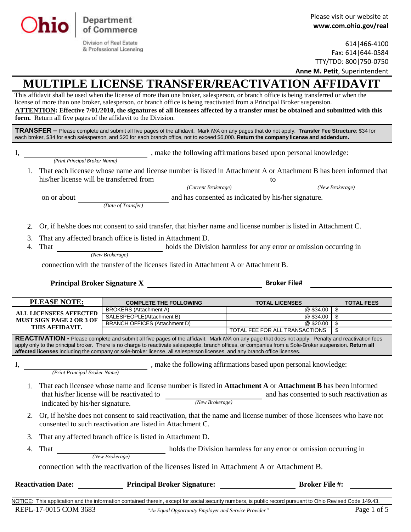

| 614 466-4100                         |
|--------------------------------------|
| Fax: 614   644-0584                  |
| TTY/TDD: 800   750-0750              |
| <b>Anne M. Petit, Superintendent</b> |

## **MULTIPLE LICENSE TRANSFER/REACTIVATION AFFIDAVIT**

This affidavit shall be used when the license of more than one broker, salesperson, or branch office is being transferred or when the license of more than one broker, salesperson, or branch office is being reactivated from a Principal Broker suspension. **ATTENTION: Effective 7/01/2010, the signatures of all licensees affected by a transfer must be obtained and submitted with this form.** Return all five pages of the affidavit to the Division.

**TRANSFER –** Please complete and submit all five pages of the affidavit. Mark *N/A* on any pages that do not apply. **Transfer Fee Structure**: \$34 for each broker, \$34 for each salesperson, and \$20 for each branch office, not to exceed \$6,000. **Return the company license and addendum.**

| I.                   |                                             |                                                                                                                                                                                                                                                                                                                                                                                                                                             | , make the following affirmations based upon personal knowledge: |                   |  |
|----------------------|---------------------------------------------|---------------------------------------------------------------------------------------------------------------------------------------------------------------------------------------------------------------------------------------------------------------------------------------------------------------------------------------------------------------------------------------------------------------------------------------------|------------------------------------------------------------------|-------------------|--|
|                      | (Print Principal Broker Name)               |                                                                                                                                                                                                                                                                                                                                                                                                                                             |                                                                  |                   |  |
| $1_{\cdot}$          | his/her license will be transferred from    | That each licensee whose name and license number is listed in Attachment A or Attachment B has been informed that<br>$\label{Current} (Current\; Brokerage)$                                                                                                                                                                                                                                                                                | to                                                               | (New Brokerage)   |  |
|                      |                                             |                                                                                                                                                                                                                                                                                                                                                                                                                                             |                                                                  |                   |  |
|                      | on or about                                 | <i>(Date of Transfer)</i> and has consented as indicated by his/her signature.                                                                                                                                                                                                                                                                                                                                                              |                                                                  |                   |  |
| 2.                   |                                             | Or, if he/she does not consent to said transfer, that his/her name and license number is listed in Attachment C.                                                                                                                                                                                                                                                                                                                            |                                                                  |                   |  |
| 3.                   |                                             | That any affected branch office is listed in Attachment D.                                                                                                                                                                                                                                                                                                                                                                                  |                                                                  |                   |  |
| 4.                   |                                             | That <i>(New Brokerage)</i> holds the Division harmless for any error or omission occurring in                                                                                                                                                                                                                                                                                                                                              |                                                                  |                   |  |
|                      |                                             |                                                                                                                                                                                                                                                                                                                                                                                                                                             |                                                                  |                   |  |
|                      |                                             | connection with the transfer of the licenses listed in Attachment A or Attachment B.                                                                                                                                                                                                                                                                                                                                                        |                                                                  |                   |  |
|                      |                                             |                                                                                                                                                                                                                                                                                                                                                                                                                                             |                                                                  |                   |  |
|                      |                                             |                                                                                                                                                                                                                                                                                                                                                                                                                                             |                                                                  |                   |  |
|                      |                                             |                                                                                                                                                                                                                                                                                                                                                                                                                                             |                                                                  |                   |  |
|                      |                                             |                                                                                                                                                                                                                                                                                                                                                                                                                                             |                                                                  |                   |  |
|                      | <b>PLEASE NOTE:</b>                         | <b>COMPLETE THE FOLLOWING</b>                                                                                                                                                                                                                                                                                                                                                                                                               | <b>TOTAL LICENSES</b>                                            | <b>TOTAL FEES</b> |  |
|                      |                                             | <b>BROKERS</b> (Attachment A)                                                                                                                                                                                                                                                                                                                                                                                                               | @ \$34.00 \$                                                     |                   |  |
|                      | <b>ALL LICENSEES AFFECTED</b>               | SALESPEOPLE(Attachment B)                                                                                                                                                                                                                                                                                                                                                                                                                   | @ \$34.00                                                        | l \$              |  |
|                      | MUST SIGN PAGE 2 OR 3 OF<br>THIS AFFIDAVIT. | <b>BRANCH OFFICES (Attachment D)</b>                                                                                                                                                                                                                                                                                                                                                                                                        | @\$20.00                                                         | \$                |  |
|                      |                                             |                                                                                                                                                                                                                                                                                                                                                                                                                                             | TOTAL FEE FOR ALL TRANSACTIONS                                   | \$                |  |
|                      |                                             | REACTIVATION - Please complete and submit all five pages of the affidavit. Mark N/A on any page that does not apply. Penalty and reactivation fees<br>apply only to the principal broker. There is no charge to reactivate salespeople, branch offices, or companies from a Sole-Broker suspension. Return all<br>affected licenses including the company or sole-broker license, all salesperson licenses, and any branch office licenses. |                                                                  |                   |  |
|                      |                                             | (Print Principal Broker Name) , make the following affirmations based upon personal knowledge:                                                                                                                                                                                                                                                                                                                                              |                                                                  |                   |  |
| $\mathbf{1}$ .<br>2. | indicated by his/her signature.             | That each licensee whose name and license number is listed in <b>Attachment A</b> or <b>Attachment B</b> has been informed<br>that his/her license will be reactivated to<br>$\qquad \qquad (New \, Brokerage)$<br>Or, if he/she does not consent to said reactivation, that the name and license number of those licensees who have not                                                                                                    | and has consented to such reactivation as                        |                   |  |

3. That any affected branch office is listed in Attachment D.

Department of Commerce Division of Real Estate & Professional Licensing

4. That holds the Division harmless for any error or omission occurring in *(New Brokerage)*

connection with the reactivation of the licenses listed in Attachment A or Attachment B.

| <b>Reactivation Date:</b> | <b>Principal Broker Signature:</b> | <b>Broker File #:</b> |  |
|---------------------------|------------------------------------|-----------------------|--|
|                           |                                    |                       |  |

NOTICE: This application and the information contained therein, except for social security numbers, is public record pursuant to Ohio Revised Code 149.43 REPL-17-0015 COM 3683 *"An Equal Opportunity Employer and Service Provider"* Page 1 of 5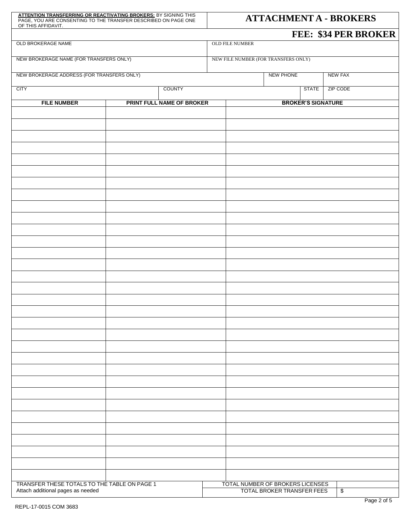| <b>ATTENTION TRANSFERRING OR REACTIVATING BROKERS: BY SIGNING THIS</b><br>PAGE, YOU ARE CONSENTING TO THE TRANSFER DESCRIBED ON PAGE ONE<br>OF THIS AFFIDAVIT. | <b>ATTACHMENT A - BROKERS</b> |                                      |                                                                       |                         |  |
|----------------------------------------------------------------------------------------------------------------------------------------------------------------|-------------------------------|--------------------------------------|-----------------------------------------------------------------------|-------------------------|--|
|                                                                                                                                                                |                               |                                      |                                                                       | FEE: \$34 PER BROKER    |  |
| OLD BROKERAGE NAME                                                                                                                                             | OLD FILE NUMBER               |                                      |                                                                       |                         |  |
| NEW BROKERAGE NAME (FOR TRANSFERS ONLY)                                                                                                                        |                               | NEW FILE NUMBER (FOR TRANSFERS ONLY) |                                                                       |                         |  |
| NEW BROKERAGE ADDRESS (FOR TRANSFERS ONLY)                                                                                                                     |                               |                                      | <b>NEW PHONE</b>                                                      | <b>NEW FAX</b>          |  |
| <b>CITY</b>                                                                                                                                                    | COUNTY                        |                                      | <b>STATE</b>                                                          | ZIP CODE                |  |
| <b>FILE NUMBER</b>                                                                                                                                             | PRINT FULL NAME OF BROKER     |                                      | <b>BROKER'S SIGNATURE</b>                                             |                         |  |
|                                                                                                                                                                |                               |                                      |                                                                       |                         |  |
|                                                                                                                                                                |                               |                                      |                                                                       |                         |  |
|                                                                                                                                                                |                               |                                      |                                                                       |                         |  |
|                                                                                                                                                                |                               |                                      |                                                                       |                         |  |
|                                                                                                                                                                |                               |                                      |                                                                       |                         |  |
|                                                                                                                                                                |                               |                                      |                                                                       |                         |  |
|                                                                                                                                                                |                               |                                      |                                                                       |                         |  |
|                                                                                                                                                                |                               |                                      |                                                                       |                         |  |
|                                                                                                                                                                |                               |                                      |                                                                       |                         |  |
|                                                                                                                                                                |                               |                                      |                                                                       |                         |  |
|                                                                                                                                                                |                               |                                      |                                                                       |                         |  |
|                                                                                                                                                                |                               |                                      |                                                                       |                         |  |
|                                                                                                                                                                |                               |                                      |                                                                       |                         |  |
|                                                                                                                                                                |                               |                                      |                                                                       |                         |  |
|                                                                                                                                                                |                               |                                      |                                                                       |                         |  |
|                                                                                                                                                                |                               |                                      |                                                                       |                         |  |
|                                                                                                                                                                |                               |                                      |                                                                       |                         |  |
|                                                                                                                                                                |                               |                                      |                                                                       |                         |  |
|                                                                                                                                                                |                               |                                      |                                                                       |                         |  |
|                                                                                                                                                                |                               |                                      |                                                                       |                         |  |
|                                                                                                                                                                |                               |                                      |                                                                       |                         |  |
|                                                                                                                                                                |                               |                                      |                                                                       |                         |  |
|                                                                                                                                                                |                               |                                      |                                                                       |                         |  |
|                                                                                                                                                                |                               |                                      |                                                                       |                         |  |
|                                                                                                                                                                |                               |                                      |                                                                       |                         |  |
|                                                                                                                                                                |                               |                                      |                                                                       |                         |  |
|                                                                                                                                                                |                               |                                      |                                                                       |                         |  |
|                                                                                                                                                                |                               |                                      |                                                                       |                         |  |
| TRANSFER THESE TOTALS TO THE TABLE ON PAGE 1<br>Attach additional pages as needed                                                                              |                               |                                      | TOTAL NUMBER OF BROKERS LICENSES<br><b>TOTAL BROKER TRANSFER FEES</b> | $\sqrt[6]{\frac{2}{5}}$ |  |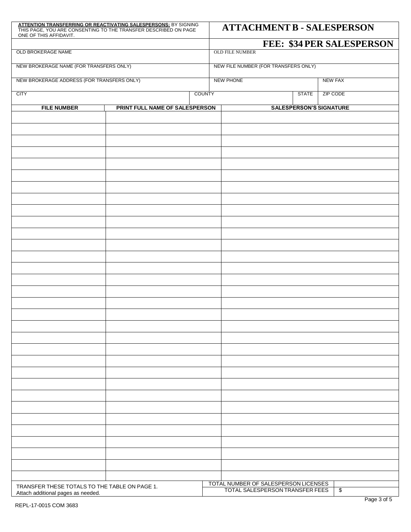| ATTENTION TRANSFERRING OR REACTIVATING SALESPERSONS: BY SIGNING<br>THIS PAGE, YOU ARE CONSENTING TO THE TRANSFER DESCRIBED ON PAGE<br>ONE OF THIS AFFIDAVIT. |                                |               | <b>ATTACHMENT B - SALESPERSON</b>    |  |              |                                |
|--------------------------------------------------------------------------------------------------------------------------------------------------------------|--------------------------------|---------------|--------------------------------------|--|--------------|--------------------------------|
|                                                                                                                                                              |                                |               |                                      |  |              | FEE: \$34 PER SALESPERSON      |
| OLD BROKERAGE NAME                                                                                                                                           |                                |               | <b>OLD FILE NUMBER</b>               |  |              |                                |
| NEW BROKERAGE NAME (FOR TRANSFERS ONLY)                                                                                                                      |                                |               | NEW FILE NUMBER (FOR TRANSFERS ONLY) |  |              |                                |
| NEW BROKERAGE ADDRESS (FOR TRANSFERS ONLY)                                                                                                                   |                                |               | <b>NEW PHONE</b>                     |  |              | <b>NEW FAX</b>                 |
| <b>CITY</b>                                                                                                                                                  |                                | <b>COUNTY</b> |                                      |  | <b>STATE</b> | <b>ZIP CODE</b>                |
| <b>FILE NUMBER</b>                                                                                                                                           | PRINT FULL NAME OF SALESPERSON |               |                                      |  |              | <b>SALESPERSON'S SIGNATURE</b> |
|                                                                                                                                                              |                                |               |                                      |  |              |                                |
|                                                                                                                                                              |                                |               |                                      |  |              |                                |
|                                                                                                                                                              |                                |               |                                      |  |              |                                |
|                                                                                                                                                              |                                |               |                                      |  |              |                                |
|                                                                                                                                                              |                                |               |                                      |  |              |                                |
|                                                                                                                                                              |                                |               |                                      |  |              |                                |
|                                                                                                                                                              |                                |               |                                      |  |              |                                |
|                                                                                                                                                              |                                |               |                                      |  |              |                                |
|                                                                                                                                                              |                                |               |                                      |  |              |                                |
|                                                                                                                                                              |                                |               |                                      |  |              |                                |
|                                                                                                                                                              |                                |               |                                      |  |              |                                |
|                                                                                                                                                              |                                |               |                                      |  |              |                                |
|                                                                                                                                                              |                                |               |                                      |  |              |                                |
|                                                                                                                                                              |                                |               |                                      |  |              |                                |
|                                                                                                                                                              |                                |               |                                      |  |              |                                |
|                                                                                                                                                              |                                |               |                                      |  |              |                                |
|                                                                                                                                                              |                                |               |                                      |  |              |                                |
|                                                                                                                                                              |                                |               |                                      |  |              |                                |
|                                                                                                                                                              |                                |               |                                      |  |              |                                |
|                                                                                                                                                              |                                |               |                                      |  |              |                                |
|                                                                                                                                                              |                                |               |                                      |  |              |                                |
|                                                                                                                                                              |                                |               |                                      |  |              |                                |
|                                                                                                                                                              |                                |               |                                      |  |              |                                |
|                                                                                                                                                              |                                |               |                                      |  |              |                                |
|                                                                                                                                                              |                                |               |                                      |  |              |                                |
|                                                                                                                                                              |                                |               |                                      |  |              |                                |
|                                                                                                                                                              |                                |               |                                      |  |              |                                |
|                                                                                                                                                              |                                |               |                                      |  |              |                                |
|                                                                                                                                                              |                                |               | TOTAL NUMBER OF SALESPERSON LICENSES |  |              |                                |
| TRANSFER THESE TOTALS TO THE TABLE ON PAGE 1.<br>Attach additional pages as needed.                                                                          |                                |               | TOTAL SALESPERSON TRANSFER FEES      |  |              | \$                             |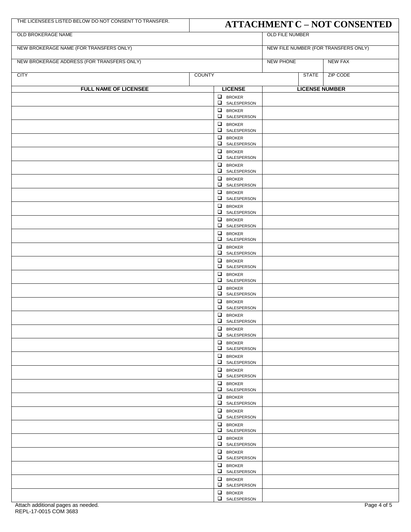| THE LICENSEES LISTED BELOW DO NOT CONSENT TO TRANSFER. |               | <b>ATTACHMENT C - NOT CONSENTED</b> |                                      |                       |  |  |
|--------------------------------------------------------|---------------|-------------------------------------|--------------------------------------|-----------------------|--|--|
| OLD BROKERAGE NAME                                     |               | <b>OLD FILE NUMBER</b>              |                                      |                       |  |  |
| NEW BROKERAGE NAME (FOR TRANSFERS ONLY)                |               |                                     | NEW FILE NUMBER (FOR TRANSFERS ONLY) |                       |  |  |
| NEW BROKERAGE ADDRESS (FOR TRANSFERS ONLY)             |               |                                     |                                      | <b>NEW FAX</b>        |  |  |
| <b>CITY</b>                                            | <b>COUNTY</b> |                                     | <b>STATE</b>                         | <b>ZIP CODE</b>       |  |  |
| FULL NAME OF LICENSEE                                  |               | <b>LICENSE</b>                      |                                      | <b>LICENSE NUMBER</b> |  |  |
|                                                        |               | $\Box$ BROKER<br>SALESPERSON        |                                      |                       |  |  |
|                                                        |               | $\Box$ BROKER                       |                                      |                       |  |  |
|                                                        |               | SALESPERSON<br>$\Box$ BROKER        |                                      |                       |  |  |
|                                                        |               | SALESPERSON<br>$\Box$ BROKER        |                                      |                       |  |  |
|                                                        |               | SALESPERSON<br>$\Box$ BROKER        |                                      |                       |  |  |
|                                                        |               | SALESPERSON<br>$\Box$ BROKER        |                                      |                       |  |  |
|                                                        |               | $\Box$ SALESPERSON                  |                                      |                       |  |  |
|                                                        |               | $\Box$ BROKER<br>$\Box$ SALESPERSON |                                      |                       |  |  |
|                                                        |               | $\Box$ BROKER<br>SALESPERSON        |                                      |                       |  |  |
|                                                        |               | $\Box$ BROKER<br>SALESPERSON        |                                      |                       |  |  |
|                                                        |               | $\Box$ BROKER                       |                                      |                       |  |  |
|                                                        |               | SALESPERSON<br>$\Box$ BROKER        |                                      |                       |  |  |
|                                                        |               | SALESPERSON<br>$\Box$ BROKER        |                                      |                       |  |  |
|                                                        |               | SALESPERSON<br>$\Box$ BROKER        |                                      |                       |  |  |
|                                                        |               | SALESPERSON                         |                                      |                       |  |  |
|                                                        |               | $\Box$ BROKER<br>SALESPERSON        |                                      |                       |  |  |
|                                                        |               | $\Box$ BROKER<br>SALESPERSON        |                                      |                       |  |  |
|                                                        |               | $\Box$ BROKER<br>SALESPERSON        |                                      |                       |  |  |
|                                                        |               | $\Box$ BROKER<br>SALESPERSON        |                                      |                       |  |  |
|                                                        |               | $\Box$ BROKER<br>SALESPERSON        |                                      |                       |  |  |
|                                                        |               | $\Box$ BROKER<br>SALESPERSON        |                                      |                       |  |  |
|                                                        |               | $\Box$ BROKER                       |                                      |                       |  |  |
|                                                        |               | SALESPERSON<br>$\Box$ BROKER        |                                      |                       |  |  |
|                                                        |               | SALESPERSON<br>$\Box$ BROKER        |                                      |                       |  |  |
|                                                        |               | SALESPERSON<br>$\Box$ BROKER        |                                      |                       |  |  |
|                                                        |               | SALESPERSON<br>$\Box$ BROKER        |                                      |                       |  |  |
|                                                        |               | $\Box$ SALESPERSON                  |                                      |                       |  |  |
|                                                        |               | $\Box$ BROKER<br>$\Box$ SALESPERSON |                                      |                       |  |  |
|                                                        |               | $\Box$ BROKER<br>SALESPERSON        |                                      |                       |  |  |
|                                                        |               | $\Box$ BROKER<br>SALESPERSON        |                                      |                       |  |  |
|                                                        |               | $\Box$ BROKER<br>SALESPERSON        |                                      |                       |  |  |
|                                                        |               | $\Box$ BROKER                       |                                      |                       |  |  |
|                                                        |               | SALESPERSON<br>$\Box$ BROKER        |                                      |                       |  |  |
|                                                        |               | $\Box$ SALESPERSON                  |                                      |                       |  |  |